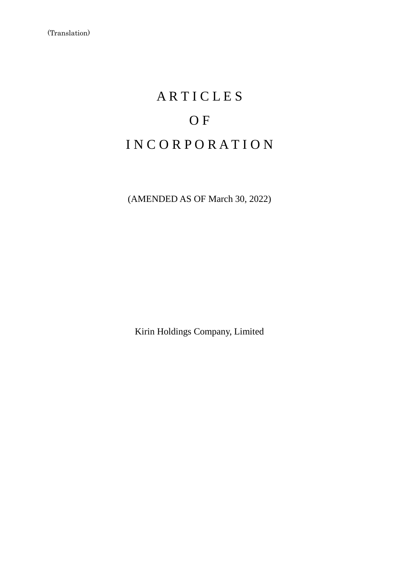# **ARTICLES** O F I N C O R P O R A T I O N

(AMENDED AS OF March 30, 2022)

Kirin Holdings Company, Limited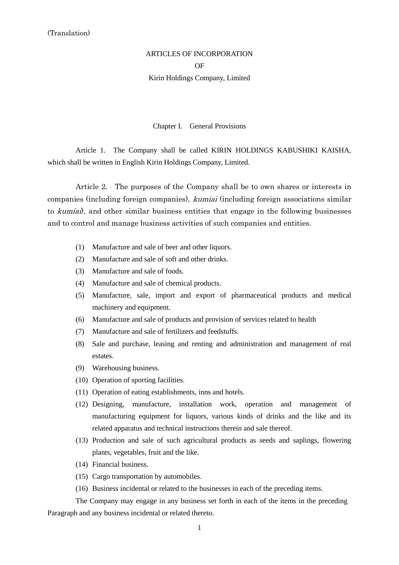# ARTICLES OF INCORPORATION OF Kirin Holdings Company, Limited

Chapter I. General Provisions

Article 1. The Company shall be called KIRIN HOLDINGS KABUSHIKI KAISHA, which shall be written in English Kirin Holdings Company, Limited.

Article 2. The purposes of the Company shall be to own shares or interests in companies (including foreign companies), kumiai (including foreign associations similar to kumiai, and other similar business entities that engage in the following businesses and to control and manage business activities of such companies and entities.

- (1) Manufacture and sale of beer and other liquors.
- (2) Manufacture and sale of soft and other drinks.
- (3) Manufacture and sale of foods.
- (4) Manufacture and sale of chemical products.
- (5) Manufacture, sale, import and export of pharmaceutical products and medical machinery and equipment.
- (6) Manufacture and sale of products and provision of services related to health
- (7) Manufacture and sale of fertilizers and feedstuffs.
- (8) Sale and purchase, leasing and renting and administration and management of real estates.
- (9) Warehousing business.
- (10) Operation of sporting facilities.
- (11) Operation of eating establishments, inns and hotels.
- (12) Designing, manufacture, installation work, operation and management of manufacturing equipment for liquors, various kinds of drinks and the like and its related apparatus and technical instructions therein and sale thereof.
- (13) Production and sale of such agricultural products as seeds and saplings, flowering plants, vegetables, fruit and the like.
- (14) Financial business.
- (15) Cargo transportation by automobiles.
- (16) Business incidental or related to the businesses in each of the preceding items.

The Company may engage in any business set forth in each of the items in the preceding Paragraph and any business incidental or related thereto.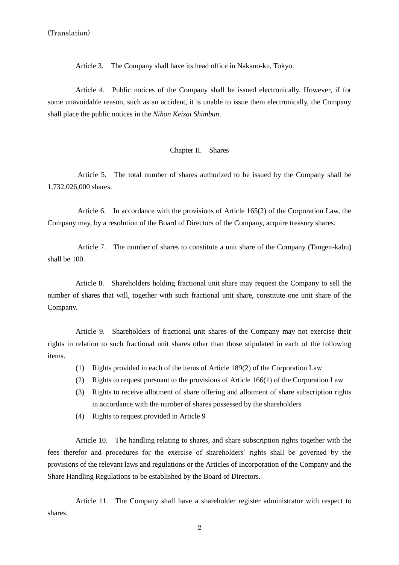Article 3. The Company shall have its head office in Nakano-ku, Tokyo.

Article 4. Public notices of the Company shall be issued electronically. However, if for some unavoidable reason, such as an accident, it is unable to issue them electronically, the Company shall place the public notices in the *Nihon Keizai Shimbun*.

#### Chapter II. Shares

Article 5. The total number of shares authorized to be issued by the Company shall be 1,732,026,000 shares.

Article 6. In accordance with the provisions of Article 165(2) of the Corporation Law, the Company may, by a resolution of the Board of Directors of the Company, acquire treasury shares.

Article 7. The number of shares to constitute a unit share of the Company (Tangen-kabu) shall be 100.

Article 8. Shareholders holding fractional unit share may request the Company to sell the number of shares that will, together with such fractional unit share, constitute one unit share of the Company.

Article 9. Shareholders of fractional unit shares of the Company may not exercise their rights in relation to such fractional unit shares other than those stipulated in each of the following items.

- (1) Rights provided in each of the items of Article 189(2) of the Corporation Law
- (2) Rights to request pursuant to the provisions of Article 166(1) of the Corporation Law
- (3) Rights to receive allotment of share offering and allotment of share subscription rights in accordance with the number of shares possessed by the shareholders
- (4) Rights to request provided in Article 9

Article 10. The handling relating to shares, and share subscription rights together with the fees therefor and procedures for the exercise of shareholders' rights shall be governed by the provisions of the relevant laws and regulations or the Articles of Incorporation of the Company and the Share Handling Regulations to be established by the Board of Directors.

Article 11. The Company shall have a shareholder register administrator with respect to shares.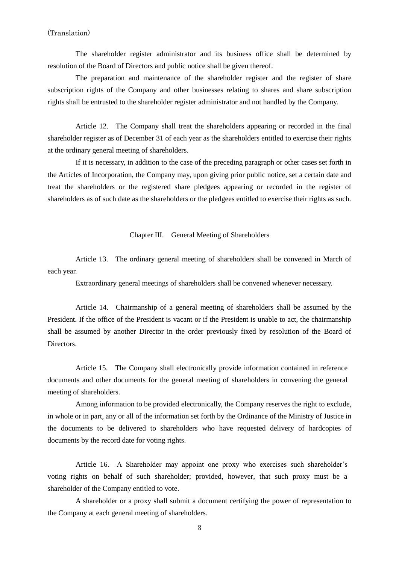The shareholder register administrator and its business office shall be determined by resolution of the Board of Directors and public notice shall be given thereof.

The preparation and maintenance of the shareholder register and the register of share subscription rights of the Company and other businesses relating to shares and share subscription rights shall be entrusted to the shareholder register administrator and not handled by the Company.

Article 12. The Company shall treat the shareholders appearing or recorded in the final shareholder register as of December 31 of each year as the shareholders entitled to exercise their rights at the ordinary general meeting of shareholders.

If it is necessary, in addition to the case of the preceding paragraph or other cases set forth in the Articles of Incorporation, the Company may, upon giving prior public notice, set a certain date and treat the shareholders or the registered share pledgees appearing or recorded in the register of shareholders as of such date as the shareholders or the pledgees entitled to exercise their rights as such.

Chapter III. General Meeting of Shareholders

Article 13. The ordinary general meeting of shareholders shall be convened in March of each year.

Extraordinary general meetings of shareholders shall be convened whenever necessary.

Article 14. Chairmanship of a general meeting of shareholders shall be assumed by the President. If the office of the President is vacant or if the President is unable to act, the chairmanship shall be assumed by another Director in the order previously fixed by resolution of the Board of **Directors** 

Article 15. The Company shall electronically provide information contained in reference documents and other documents for the general meeting of shareholders in convening the general meeting of shareholders.

Among information to be provided electronically, the Company reserves the right to exclude, in whole or in part, any or all of the information set forth by the Ordinance of the Ministry of Justice in the documents to be delivered to shareholders who have requested delivery of hardcopies of documents by the record date for voting rights.

Article 16. A Shareholder may appoint one proxy who exercises such shareholder's voting rights on behalf of such shareholder; provided, however, that such proxy must be a shareholder of the Company entitled to vote.

A shareholder or a proxy shall submit a document certifying the power of representation to the Company at each general meeting of shareholders.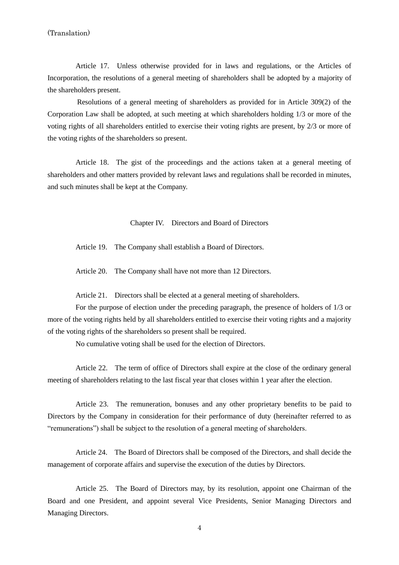Article 17. Unless otherwise provided for in laws and regulations, or the Articles of Incorporation, the resolutions of a general meeting of shareholders shall be adopted by a majority of the shareholders present.

 Resolutions of a general meeting of shareholders as provided for in Article 309(2) of the Corporation Law shall be adopted, at such meeting at which shareholders holding 1/3 or more of the voting rights of all shareholders entitled to exercise their voting rights are present, by 2/3 or more of the voting rights of the shareholders so present.

Article 18. The gist of the proceedings and the actions taken at a general meeting of shareholders and other matters provided by relevant laws and regulations shall be recorded in minutes, and such minutes shall be kept at the Company.

Chapter IV. Directors and Board of Directors

Article 19. The Company shall establish a Board of Directors.

Article 20. The Company shall have not more than 12 Directors.

Article 21. Directors shall be elected at a general meeting of shareholders.

For the purpose of election under the preceding paragraph, the presence of holders of 1/3 or more of the voting rights held by all shareholders entitled to exercise their voting rights and a majority of the voting rights of the shareholders so present shall be required.

No cumulative voting shall be used for the election of Directors.

Article 22. The term of office of Directors shall expire at the close of the ordinary general meeting of shareholders relating to the last fiscal year that closes within 1 year after the election.

Article 23. The remuneration, bonuses and any other proprietary benefits to be paid to Directors by the Company in consideration for their performance of duty (hereinafter referred to as "remunerations") shall be subject to the resolution of a general meeting of shareholders.

Article 24. The Board of Directors shall be composed of the Directors, and shall decide the management of corporate affairs and supervise the execution of the duties by Directors.

Article 25. The Board of Directors may, by its resolution, appoint one Chairman of the Board and one President, and appoint several Vice Presidents, Senior Managing Directors and Managing Directors.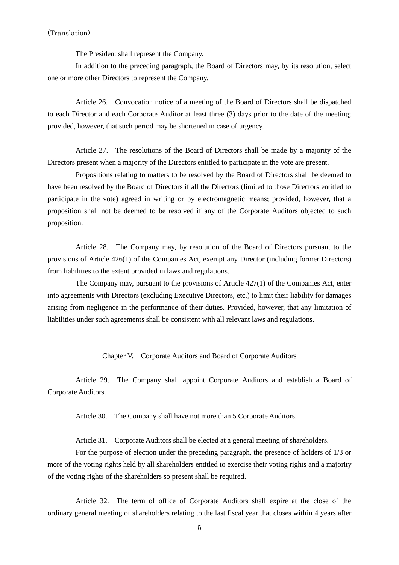The President shall represent the Company.

In addition to the preceding paragraph, the Board of Directors may, by its resolution, select one or more other Directors to represent the Company.

Article 26. Convocation notice of a meeting of the Board of Directors shall be dispatched to each Director and each Corporate Auditor at least three (3) days prior to the date of the meeting; provided, however, that such period may be shortened in case of urgency.

Article 27. The resolutions of the Board of Directors shall be made by a majority of the Directors present when a majority of the Directors entitled to participate in the vote are present.

Propositions relating to matters to be resolved by the Board of Directors shall be deemed to have been resolved by the Board of Directors if all the Directors (limited to those Directors entitled to participate in the vote) agreed in writing or by electromagnetic means; provided, however, that a proposition shall not be deemed to be resolved if any of the Corporate Auditors objected to such proposition.

Article 28. The Company may, by resolution of the Board of Directors pursuant to the provisions of Article 426(1) of the Companies Act, exempt any Director (including former Directors) from liabilities to the extent provided in laws and regulations.

The Company may, pursuant to the provisions of Article  $427(1)$  of the Companies Act, enter into agreements with Directors (excluding Executive Directors, etc.) to limit their liability for damages arising from negligence in the performance of their duties. Provided, however, that any limitation of liabilities under such agreements shall be consistent with all relevant laws and regulations.

Chapter V. Corporate Auditors and Board of Corporate Auditors

Article 29. The Company shall appoint Corporate Auditors and establish a Board of Corporate Auditors.

Article 30. The Company shall have not more than 5 Corporate Auditors.

Article 31. Corporate Auditors shall be elected at a general meeting of shareholders.

For the purpose of election under the preceding paragraph, the presence of holders of 1/3 or more of the voting rights held by all shareholders entitled to exercise their voting rights and a majority of the voting rights of the shareholders so present shall be required.

Article 32. The term of office of Corporate Auditors shall expire at the close of the ordinary general meeting of shareholders relating to the last fiscal year that closes within 4 years after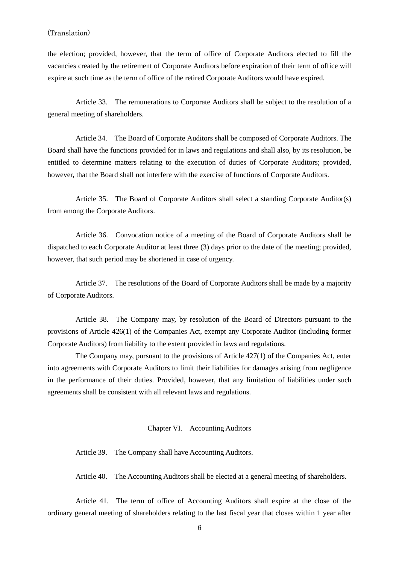the election; provided, however, that the term of office of Corporate Auditors elected to fill the vacancies created by the retirement of Corporate Auditors before expiration of their term of office will expire at such time as the term of office of the retired Corporate Auditors would have expired.

Article 33. The remunerations to Corporate Auditors shall be subject to the resolution of a general meeting of shareholders.

Article 34. The Board of Corporate Auditors shall be composed of Corporate Auditors. The Board shall have the functions provided for in laws and regulations and shall also, by its resolution, be entitled to determine matters relating to the execution of duties of Corporate Auditors; provided, however, that the Board shall not interfere with the exercise of functions of Corporate Auditors.

Article 35. The Board of Corporate Auditors shall select a standing Corporate Auditor(s) from among the Corporate Auditors.

Article 36. Convocation notice of a meeting of the Board of Corporate Auditors shall be dispatched to each Corporate Auditor at least three (3) days prior to the date of the meeting; provided, however, that such period may be shortened in case of urgency.

Article 37. The resolutions of the Board of Corporate Auditors shall be made by a majority of Corporate Auditors.

Article 38. The Company may, by resolution of the Board of Directors pursuant to the provisions of Article 426(1) of the Companies Act, exempt any Corporate Auditor (including former Corporate Auditors) from liability to the extent provided in laws and regulations.

The Company may, pursuant to the provisions of Article 427(1) of the Companies Act, enter into agreements with Corporate Auditors to limit their liabilities for damages arising from negligence in the performance of their duties. Provided, however, that any limitation of liabilities under such agreements shall be consistent with all relevant laws and regulations.

#### Chapter VI. Accounting Auditors

Article 39. The Company shall have Accounting Auditors.

Article 40. The Accounting Auditors shall be elected at a general meeting of shareholders.

Article 41. The term of office of Accounting Auditors shall expire at the close of the ordinary general meeting of shareholders relating to the last fiscal year that closes within 1 year after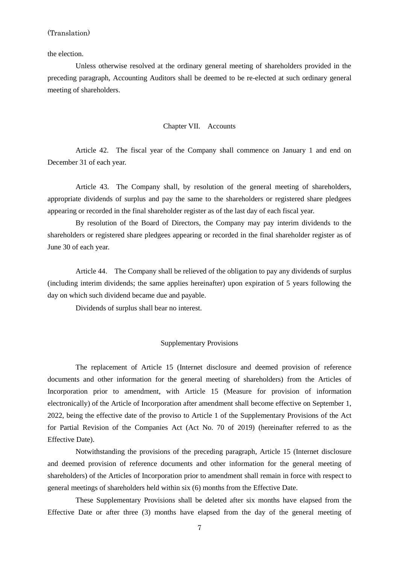the election.

Unless otherwise resolved at the ordinary general meeting of shareholders provided in the preceding paragraph, Accounting Auditors shall be deemed to be re-elected at such ordinary general meeting of shareholders.

#### Chapter VII. Accounts

Article 42. The fiscal year of the Company shall commence on January 1 and end on December 31 of each year.

Article 43. The Company shall, by resolution of the general meeting of shareholders, appropriate dividends of surplus and pay the same to the shareholders or registered share pledgees appearing or recorded in the final shareholder register as of the last day of each fiscal year.

By resolution of the Board of Directors, the Company may pay interim dividends to the shareholders or registered share pledgees appearing or recorded in the final shareholder register as of June 30 of each year.

Article 44. The Company shall be relieved of the obligation to pay any dividends of surplus (including interim dividends; the same applies hereinafter) upon expiration of 5 years following the day on which such dividend became due and payable.

Dividends of surplus shall bear no interest.

## Supplementary Provisions

The replacement of Article 15 (Internet disclosure and deemed provision of reference documents and other information for the general meeting of shareholders) from the Articles of Incorporation prior to amendment, with Article 15 (Measure for provision of information electronically) of the Article of Incorporation after amendment shall become effective on September 1, 2022, being the effective date of the proviso to Article 1 of the Supplementary Provisions of the Act for Partial Revision of the Companies Act (Act No. 70 of 2019) (hereinafter referred to as the Effective Date).

Notwithstanding the provisions of the preceding paragraph, Article 15 (Internet disclosure and deemed provision of reference documents and other information for the general meeting of shareholders) of the Articles of Incorporation prior to amendment shall remain in force with respect to general meetings of shareholders held within six (6) months from the Effective Date.

These Supplementary Provisions shall be deleted after six months have elapsed from the Effective Date or after three (3) months have elapsed from the day of the general meeting of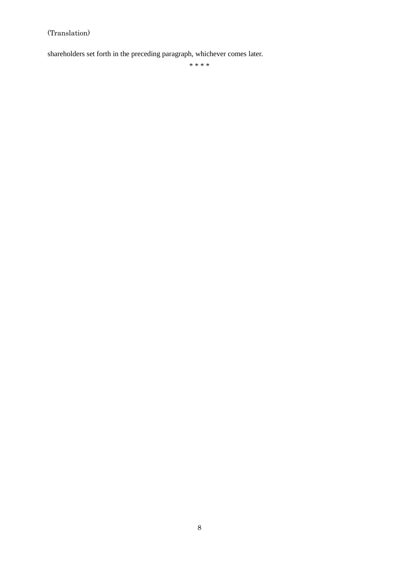shareholders set forth in the preceding paragraph, whichever comes later.

\* \* \* \*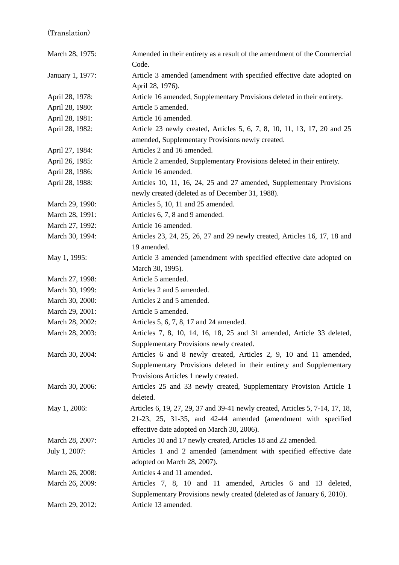| March 28, 1975:  | Amended in their entirety as a result of the amendment of the Commercial<br>Code.                           |
|------------------|-------------------------------------------------------------------------------------------------------------|
| January 1, 1977: | Article 3 amended (amendment with specified effective date adopted on<br>April 28, 1976).                   |
| April 28, 1978:  | Article 16 amended, Supplementary Provisions deleted in their entirety.                                     |
| April 28, 1980:  | Article 5 amended.                                                                                          |
| April 28, 1981:  | Article 16 amended.                                                                                         |
| April 28, 1982:  | Article 23 newly created, Articles 5, 6, 7, 8, 10, 11, 13, 17, 20 and 25                                    |
|                  | amended, Supplementary Provisions newly created.                                                            |
| April 27, 1984:  | Articles 2 and 16 amended.                                                                                  |
| April 26, 1985:  | Article 2 amended, Supplementary Provisions deleted in their entirety.                                      |
| April 28, 1986:  | Article 16 amended.                                                                                         |
| April 28, 1988:  | Articles 10, 11, 16, 24, 25 and 27 amended, Supplementary Provisions                                        |
|                  | newly created (deleted as of December 31, 1988).                                                            |
| March 29, 1990:  | Articles 5, 10, 11 and 25 amended.                                                                          |
| March 28, 1991:  | Articles 6, 7, 8 and 9 amended.                                                                             |
| March 27, 1992:  | Article 16 amended.                                                                                         |
| March 30, 1994:  | Articles 23, 24, 25, 26, 27 and 29 newly created, Articles 16, 17, 18 and                                   |
|                  | 19 amended.                                                                                                 |
| May 1, 1995:     | Article 3 amended (amendment with specified effective date adopted on                                       |
|                  | March 30, 1995).                                                                                            |
| March 27, 1998:  | Article 5 amended.                                                                                          |
| March 30, 1999:  | Articles 2 and 5 amended.                                                                                   |
| March 30, 2000:  | Articles 2 and 5 amended.                                                                                   |
| March 29, 2001:  | Article 5 amended.                                                                                          |
| March 28, 2002:  | Articles 5, 6, 7, 8, 17 and 24 amended.                                                                     |
| March 28, 2003:  | Articles 7, 8, 10, 14, 16, 18, 25 and 31 amended, Article 33 deleted,                                       |
|                  | Supplementary Provisions newly created.                                                                     |
| March 30, 2004:  | Articles 6 and 8 newly created, Articles 2, 9, 10 and 11 amended,                                           |
|                  | Supplementary Provisions deleted in their entirety and Supplementary                                        |
|                  | Provisions Articles 1 newly created.                                                                        |
| March 30, 2006:  | Articles 25 and 33 newly created, Supplementary Provision Article 1                                         |
|                  | deleted.                                                                                                    |
| May 1, 2006:     | Articles 6, 19, 27, 29, 37 and 39-41 newly created, Articles 5, 7-14, 17, 18,                               |
|                  | 21-23, 25, 31-35, and 42-44 amended (amendment with specified<br>effective date adopted on March 30, 2006). |
| March 28, 2007:  | Articles 10 and 17 newly created, Articles 18 and 22 amended.                                               |
| July 1, 2007:    | Articles 1 and 2 amended (amendment with specified effective date                                           |
|                  | adopted on March 28, 2007).                                                                                 |
| March 26, 2008:  | Articles 4 and 11 amended.                                                                                  |
| March 26, 2009:  | Articles 7, 8, 10 and 11 amended, Articles 6 and 13 deleted,                                                |
|                  | Supplementary Provisions newly created (deleted as of January 6, 2010).                                     |
| March 29, 2012:  | Article 13 amended.                                                                                         |
|                  |                                                                                                             |